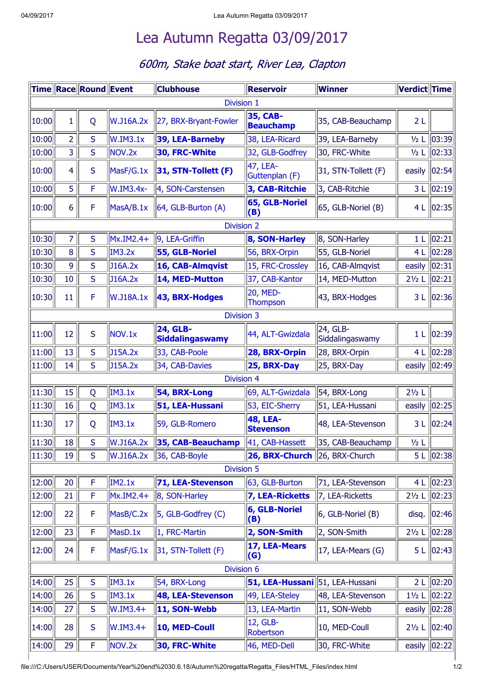## Lea Autumn Regatta [03/09/2017](file:///C:/Users/USER/Documents/Year%20end%2030.6.18/Autumn%20regatta/Regatta_Files/HTML_Files/index.html)

## 600m, Stake boat start, River Lea, Clapton

|                   |                | Time Race Round Event |                    | <b>Clubhouse</b>                          | <b>Reservoir</b>                    | <b>Winner</b>               | Verdict Time                |                       |  |  |  |  |
|-------------------|----------------|-----------------------|--------------------|-------------------------------------------|-------------------------------------|-----------------------------|-----------------------------|-----------------------|--|--|--|--|
| Division 1        |                |                       |                    |                                           |                                     |                             |                             |                       |  |  |  |  |
| 10:00             | 1              | Q                     | W.J16A.2x          | 27, BRX-Bryant-Fowler                     | 35, CAB-<br><b>Beauchamp</b>        | 35, CAB-Beauchamp           | 2L                          |                       |  |  |  |  |
| 10:00             | $\overline{2}$ | S                     | W.IM3.1x           | 39, LEA-Barneby                           | 38, LEA-Ricard                      | 39, LEA-Barneby             | $1/2$ L                     | $\vert$ 03:39 $\vert$ |  |  |  |  |
| 10:00             | $\overline{3}$ | S                     | NOV <sub>.2x</sub> | 30, FRC-White                             | 32, GLB-Godfrey                     | 30, FRC-White               |                             | 1/2 L 02:33           |  |  |  |  |
| 10:00             | 4              | S                     | MasF/G.1x          | 31, STN-Tollett (F)                       | 47, LEA-<br>Guttenplan (F)          | 31, STN-Tollett (F)         | easily                      | 02:54                 |  |  |  |  |
| 10:00             | 5              | F                     | W.IM3.4x-          | 4, SON-Carstensen                         | 3, CAB-Ritchie                      | 3, CAB-Ritchie              | 3L                          | $\vert 02:19 \vert$   |  |  |  |  |
| 10:00             | 6              | F                     | MasA/B.1x          | 64, GLB-Burton (A)                        | 65, GLB-Noriel<br>(B)               | 65, GLB-Noriel (B)          |                             | 4 L   02:35           |  |  |  |  |
| <b>Division 2</b> |                |                       |                    |                                           |                                     |                             |                             |                       |  |  |  |  |
| 10:30             | 7              | S                     | Mx.IM2.4+          | 9, LEA-Griffin                            | 8, SON-Harley                       | 8, SON-Harley               | 1 <sub>L</sub>              | $\vert 02:21 \vert$   |  |  |  |  |
| 10:30             | 8              | S                     | <b>IM3.2x</b>      | 55, GLB-Noriel                            | 56, BRX-Orpin                       | 55, GLB-Noriel              | 4L                          | $\vert$ 02:28         |  |  |  |  |
| 10:30             | 9              | S                     | J16A.2x            | 16, CAB-Almqvist                          | 15, FRC-Crossley                    | 16, CAB-Almqvist            | easily                      | $\ 02:31\ $           |  |  |  |  |
| 10:30             | 10             | S                     | J16A.2x            | 14, MED-Mutton                            | 37, CAB-Kantor                      | 14, MED-Mutton              | 21/2 L 02:21                |                       |  |  |  |  |
| 10:30             | 11             | F                     | W.J18A.1x          | 43, BRX-Hodges                            | <b>20, MED-</b><br><b>Thompson</b>  | 43, BRX-Hodges              |                             | 3 L   02:36           |  |  |  |  |
|                   |                |                       |                    | <b>Division 3</b>                         |                                     |                             |                             |                       |  |  |  |  |
| 11:00             | 12             | S                     | NOV.1x             | <b>24, GLB-</b><br><b>Siddalingaswamy</b> | 44, ALT-Gwizdala                    | 24, GLB-<br>Siddalingaswamy | 1 <sub>L</sub>              | $\vert 02:39 \vert$   |  |  |  |  |
| 11:00             | 13             | S                     | J15A.2x            | 33, CAB-Poole                             | 28, BRX-Orpin                       | 28, BRX-Orpin               |                             | 4 L 02:28             |  |  |  |  |
| 11:00             | 14             | S                     | J15A.2x            | 34, CAB-Davies                            | 25, BRX-Day                         | 25, BRX-Day                 | easily  02:49               |                       |  |  |  |  |
|                   |                |                       |                    | <b>Division 4</b>                         |                                     |                             |                             |                       |  |  |  |  |
| 11:30             | 15             | Q                     | <b>IM3.1x</b>      | 54, BRX-Long                              | 69, ALT-Gwizdala                    | 54, BRX-Long                | $2\frac{1}{2}$ L            |                       |  |  |  |  |
| 11:30             | 16             | Q                     | <b>IM3.1x</b>      | 51, LEA-Hussani                           | 53, EIC-Sherry                      | 51, LEA-Hussani             | easily $\ 02:25\ $          |                       |  |  |  |  |
| 11:30             | 17             | Q                     | <b>IM3.1x</b>      | 59, GLB-Romero                            | <b>48, LEA-</b><br><b>Stevenson</b> | 48, LEA-Stevenson           |                             | 3 L 02:24             |  |  |  |  |
| $\ 11:30\ $       | 18             | S                     | W.J16A.2x          | $ 35,$ CAB-Beauchamp $ $                  | $\parallel$ 41, CAB-Hassett         | 35, CAB-Beauchamp           | $\frac{1}{2}$ $\frac{1}{2}$ |                       |  |  |  |  |
| 11:30             | 19             | S                     | W.J16A.2x          | 36, CAB-Boyle                             | 26, BRX-Church 26, BRX-Church       |                             |                             | 5 L   02:38           |  |  |  |  |
|                   |                |                       |                    | <b>Division 5</b>                         |                                     |                             |                             |                       |  |  |  |  |
| 12:00             | 20             | $\mathsf F$           | <b>IM2.1x</b>      | <b>71, LEA-Stevenson</b>                  | 63, GLB-Burton                      | 71, LEA-Stevenson           |                             | 4 L 02:23             |  |  |  |  |
| 12:00             | 21             | F                     | Mx.IM2.4+          | 8, SON-Harley                             | 7, LEA-Ricketts                     | 7, LEA-Ricketts             | $2\frac{1}{2}$ L            | $\ 02:23\ $           |  |  |  |  |
| 12:00             | 22             | F                     | MasB/C.2x          | 5, GLB-Godfrey (C)                        | 6, GLB-Noriel<br>(B)                | 6, GLB-Noriel (B)           | disq.                       | 02:46                 |  |  |  |  |
| 12:00             | 23             | F                     | MasD.1x            | 1, FRC-Martin                             | 2, SON-Smith                        | 2, SON-Smith                |                             | 21/2 L 02:28          |  |  |  |  |
| 12:00             | 24             | F                     | MasF/G.1x          | 31, STN-Tollett (F)                       | 17, LEA-Mears<br>(G)                | 17, LEA-Mears (G)           |                             | 5 L   02:43           |  |  |  |  |
|                   |                |                       |                    | Division 6                                |                                     |                             |                             |                       |  |  |  |  |
| 14:00             | 25             | S                     | <b>IM3.1x</b>      | 54, BRX-Long                              | 51, LEA-Hussani 51, LEA-Hussani     |                             |                             | 2 L 02:20             |  |  |  |  |
| 14:00             | 26             | S                     | <b>IM3.1x</b>      | 48, LEA-Stevenson                         | 49, LEA-Steley                      | 48, LEA-Stevenson           |                             | 11/2 L 02:22          |  |  |  |  |
| 14:00             | 27             | S                     | W.IM3.4+           | 11, SON-Webb                              | 13, LEA-Martin                      | 11, SON-Webb                | easily $ 02:28 $            |                       |  |  |  |  |
| 14:00             | 28             | S                     | $W.IM3.4+$         | 10, MED-Coull                             | 12, GLB-<br>Robertson               | 10, MED-Coull               | $2\frac{1}{2}$ L            | $\vert 02:40 \vert$   |  |  |  |  |
| 14:00             | 29             | F                     | NOV.2x             | 30, FRC-White                             | 46, MED-Dell                        | 30, FRC-White               |                             | easily $ 02:22 $      |  |  |  |  |

file:///C:/Users/USER/Documents/Year%20end%2030.6.18/Autumn%20regatta/Regatta\_Files/HTML\_Files/index.html 1/2